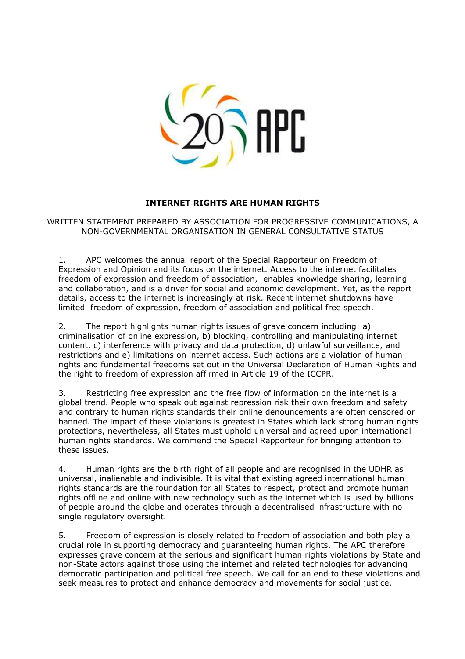

## **INTERNET RIGHTS ARE HUMAN RIGHTS**

WRITTEN STATEMENT PREPARED BY ASSOCIATION FOR PROGRESSIVE COMMUNICATIONS, A NON-GOVERNMENTAL ORGANISATION IN GENERAL CONSULTATIVE STATUS

1. APC welcomes the annual report of the Special Rapporteur on Freedom of Expression and Opinion and its focus on the internet. Access to the internet facilitates freedom of expression and freedom of association, enables knowledge sharing, learning and collaboration, and is a driver for social and economic development. Yet, as the report details, access to the internet is increasingly at risk. Recent internet shutdowns have limited freedom of expression, freedom of association and political free speech.

2. The report highlights human rights issues of grave concern including: a) criminalisation of online expression, b) blocking, controlling and manipulating internet content, c) interference with privacy and data protection, d) unlawful surveillance, and restrictions and e) limitations on internet access. Such actions are a violation of human rights and fundamental freedoms set out in the Universal Declaration of Human Rights and the right to freedom of expression affirmed in Article 19 of the ICCPR.

3. Restricting free expression and the free flow of information on the internet is a global trend. People who speak out against repression risk their own freedom and safety and contrary to human rights standards their online denouncements are often censored or banned. The impact of these violations is greatest in States which lack strong human rights protections, nevertheless, all States must uphold universal and agreed upon international human rights standards. We commend the Special Rapporteur for bringing attention to these issues.

4. Human rights are the birth right of all people and are recognised in the UDHR as universal, inalienable and indivisible. It is vital that existing agreed international human rights standards are the foundation for all States to respect, protect and promote human rights offline and online with new technology such as the internet which is used by billions of people around the globe and operates through a decentralised infrastructure with no single regulatory oversight.

5. Freedom of expression is closely related to freedom of association and both play a crucial role in supporting democracy and guaranteeing human rights. The APC therefore expresses grave concern at the serious and significant human rights violations by State and non-State actors against those using the internet and related technologies for advancing democratic participation and political free speech. We call for an end to these violations and seek measures to protect and enhance democracy and movements for social justice.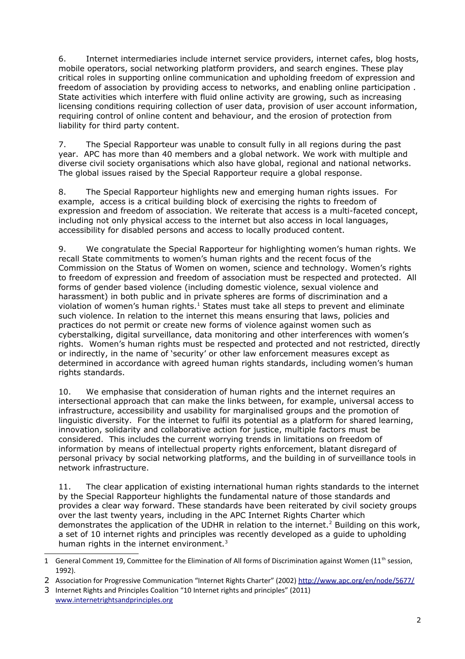6. Internet intermediaries include internet service providers, internet cafes, blog hosts, mobile operators, social networking platform providers, and search engines. These play critical roles in supporting online communication and upholding freedom of expression and freedom of association by providing access to networks, and enabling online participation . State activities which interfere with fluid online activity are growing, such as increasing licensing conditions requiring collection of user data, provision of user account information, requiring control of online content and behaviour, and the erosion of protection from liability for third party content.

7. The Special Rapporteur was unable to consult fully in all regions during the past year. APC has more than 40 members and a global network. We work with multiple and diverse civil society organisations which also have global, regional and national networks. The global issues raised by the Special Rapporteur require a global response.

8. The Special Rapporteur highlights new and emerging human rights issues. For example, access is a critical building block of exercising the rights to freedom of expression and freedom of association. We reiterate that access is a multi-faceted concept, including not only physical access to the internet but also access in local languages, accessibility for disabled persons and access to locally produced content.

9. We congratulate the Special Rapporteur for highlighting women's human rights. We recall State commitments to women's human rights and the recent focus of the Commission on the Status of Women on women, science and technology. Women's rights to freedom of expression and freedom of association must be respected and protected. All forms of gender based violence (including domestic violence, sexual violence and harassment) in both public and in private spheres are forms of discrimination and a violation of women's human rights. $^1$  $^1$  States must take all steps to prevent and eliminate such violence. In relation to the internet this means ensuring that laws, policies and practices do not permit or create new forms of violence against women such as cyberstalking, digital surveillance, data monitoring and other interferences with women's rights. Women's human rights must be respected and protected and not restricted, directly or indirectly, in the name of 'security' or other law enforcement measures except as determined in accordance with agreed human rights standards, including women's human rights standards.

10. We emphasise that consideration of human rights and the internet requires an intersectional approach that can make the links between, for example, universal access to infrastructure, accessibility and usability for marginalised groups and the promotion of linguistic diversity. For the internet to fulfil its potential as a platform for shared learning, innovation, solidarity and collaborative action for justice, multiple factors must be considered. This includes the current worrying trends in limitations on freedom of information by means of intellectual property rights enforcement, blatant disregard of personal privacy by social networking platforms, and the building in of surveillance tools in network infrastructure.

11. The clear application of existing international human rights standards to the internet by the Special Rapporteur highlights the fundamental nature of those standards and provides a clear way forward. These standards have been reiterated by civil society groups over the last twenty years, including in the APC Internet Rights Charter which demonstrates the application of the UDHR in relation to the internet.<sup>[2](#page-1-1)</sup> Building on this work, a set of 10 internet rights and principles was recently developed as a guide to upholding human rights in the internet environment.<sup>[3](#page-1-2)</sup>

<span id="page-1-2"></span>3 Internet Rights and Principles Coalition "10 Internet rights and principles" (2011) [www.internetrightsandprinciples.org](http://www.internetrightsandprinciples.org/)

<span id="page-1-0"></span><sup>1</sup> General Comment 19, Committee for the Elimination of All forms of Discrimination against Women ( $11<sup>th</sup>$  session, 1992).

<span id="page-1-1"></span><sup>2</sup> Association for Progressive Communication "Internet Rights Charter" (2002)<http://www.apc.org/en/node/5677/>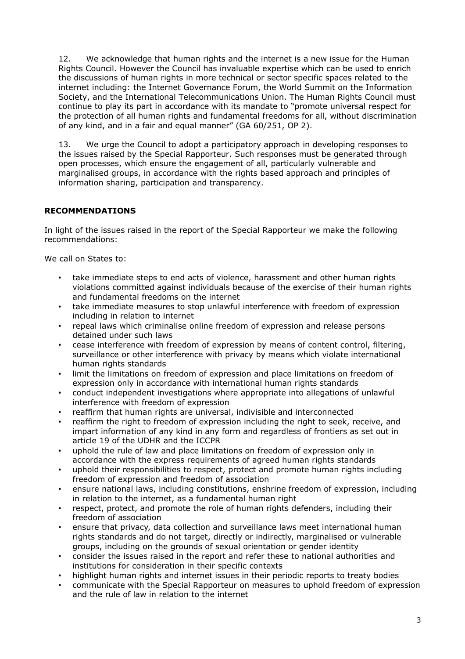12. We acknowledge that human rights and the internet is a new issue for the Human Rights Council. However the Council has invaluable expertise which can be used to enrich the discussions of human rights in more technical or sector specific spaces related to the internet including: the Internet Governance Forum, the World Summit on the Information Society, and the International Telecommunications Union. The Human Rights Council must continue to play its part in accordance with its mandate to "promote universal respect for the protection of all human rights and fundamental freedoms for all, without discrimination of any kind, and in a fair and equal manner" (GA 60/251, OP 2).

13. We urge the Council to adopt a participatory approach in developing responses to the issues raised by the Special Rapporteur. Such responses must be generated through open processes, which ensure the engagement of all, particularly vulnerable and marginalised groups, in accordance with the rights based approach and principles of information sharing, participation and transparency.

## **RECOMMENDATIONS**

In light of the issues raised in the report of the Special Rapporteur we make the following recommendations:

We call on States to:

- take immediate steps to end acts of violence, harassment and other human rights violations committed against individuals because of the exercise of their human rights and fundamental freedoms on the internet
- take immediate measures to stop unlawful interference with freedom of expression including in relation to internet
- repeal laws which criminalise online freedom of expression and release persons detained under such laws
- cease interference with freedom of expression by means of content control, filtering, surveillance or other interference with privacy by means which violate international human rights standards
- limit the limitations on freedom of expression and place limitations on freedom of expression only in accordance with international human rights standards
- conduct independent investigations where appropriate into allegations of unlawful interference with freedom of expression
- reaffirm that human rights are universal, indivisible and interconnected
- reaffirm the right to freedom of expression including the right to seek, receive, and impart information of any kind in any form and regardless of frontiers as set out in article 19 of the UDHR and the ICCPR
- uphold the rule of law and place limitations on freedom of expression only in accordance with the express requirements of agreed human rights standards
- uphold their responsibilities to respect, protect and promote human rights including freedom of expression and freedom of association
- ensure national laws, including constitutions, enshrine freedom of expression, including in relation to the internet, as a fundamental human right
- respect, protect, and promote the role of human rights defenders, including their freedom of association
- ensure that privacy, data collection and surveillance laws meet international human rights standards and do not target, directly or indirectly, marginalised or vulnerable groups, including on the grounds of sexual orientation or gender identity
- consider the issues raised in the report and refer these to national authorities and institutions for consideration in their specific contexts
- highlight human rights and internet issues in their periodic reports to treaty bodies
- communicate with the Special Rapporteur on measures to uphold freedom of expression and the rule of law in relation to the internet